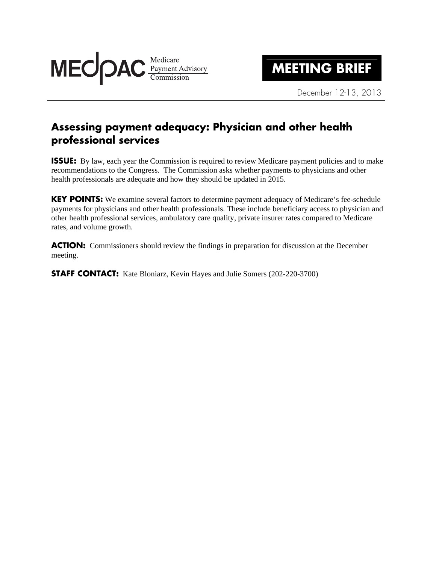

## **MEETING BRIEF**

December 12-13, 2013

## **Assessing payment adequacy: Physician and other health professional services**

**ISSUE:** By law, each year the Commission is required to review Medicare payment policies and to make recommendations to the Congress. The Commission asks whether payments to physicians and other health professionals are adequate and how they should be updated in 2015.

**KEY POINTS:** We examine several factors to determine payment adequacy of Medicare's fee-schedule payments for physicians and other health professionals. These include beneficiary access to physician and other health professional services, ambulatory care quality, private insurer rates compared to Medicare rates, and volume growth.

**ACTION:** Commissioners should review the findings in preparation for discussion at the December meeting.

**STAFF CONTACT:** Kate Bloniarz, Kevin Hayes and Julie Somers (202-220-3700)